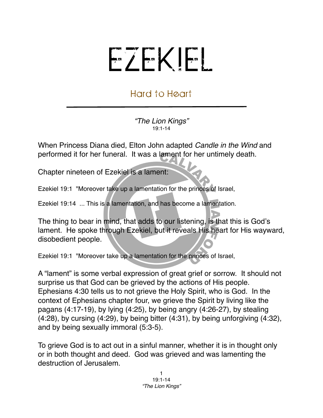## EZEKIEL

## Hard to Heart

*"The Lion Kings"* 19:1-14

When Princess Diana died, Elton John adapted *Candle in the Wind* and performed it for her funeral. It was a lament for her untimely death.

Chapter nineteen of Ezekiel is a lament:

Ezekiel 19:1 "Moreover take up a lamentation for the princes of Israel,

Ezekiel 19:14 ... This is a lamentation, and has become a lamentation.

The thing to bear in mind, that adds to our listening, is that this is God's lament. He spoke through Ezekiel, but it reveals His heart for His wayward, disobedient people.

Ezekiel 19:1 "Moreover take up a lamentation for the princes of Israel,

A "lament" is some verbal expression of great grief or sorrow. It should not surprise us that God can be grieved by the actions of His people. Ephesians 4:30 tells us to not grieve the Holy Spirit, who is God. In the context of Ephesians chapter four, we grieve the Spirit by living like the pagans (4:17-19), by lying (4:25), by being angry (4:26-27), by stealing (4:28), by cursing (4:29), by being bitter (4:31), by being unforgiving (4:32), and by being sexually immoral (5:3-5).

To grieve God is to act out in a sinful manner, whether it is in thought only or in both thought and deed. God was grieved and was lamenting the destruction of Jerusalem.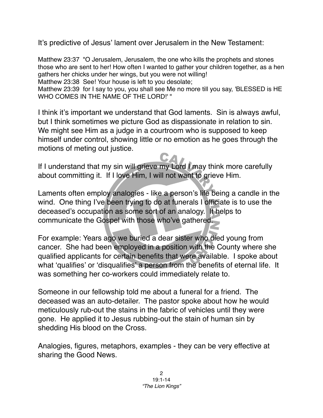It's predictive of Jesus' lament over Jerusalem in the New Testament:

Matthew 23:37 "O Jerusalem, Jerusalem, the one who kills the prophets and stones those who are sent to her! How often I wanted to gather your children together, as a hen gathers her chicks under her wings, but you were not willing!

Matthew 23:38 See! Your house is left to you desolate;

Matthew 23:39 for I say to you, you shall see Me no more till you say, 'BLESSED is HE WHO COMES IN THE NAME OF THE LORD!' "

I think it's important we understand that God laments. Sin is always awful, but I think sometimes we picture God as dispassionate in relation to sin. We might see Him as a judge in a courtroom who is supposed to keep himself under control, showing little or no emotion as he goes through the motions of meting out justice.

If I understand that my sin will grieve my Lord I may think more carefully about committing it. If I love Him, I will not want to grieve Him.

Laments often employ analogies - like a person's life being a candle in the wind. One thing I've been trying to do at funerals I officiate is to use the deceased's occupation as some sort of an analogy. It helps to communicate the Gospel with those who've gathered.

For example: Years ago we buried a dear sister who died young from cancer. She had been employed in a position with the County where she qualified applicants for certain benefits that were available. I spoke about what ʻqualifies' or ʻdisqualifies' a person from the benefits of eternal life. It was something her co-workers could immediately relate to.

Someone in our fellowship told me about a funeral for a friend. The deceased was an auto-detailer. The pastor spoke about how he would meticulously rub-out the stains in the fabric of vehicles until they were gone. He applied it to Jesus rubbing-out the stain of human sin by shedding His blood on the Cross.

Analogies, figures, metaphors, examples - they can be very effective at sharing the Good News.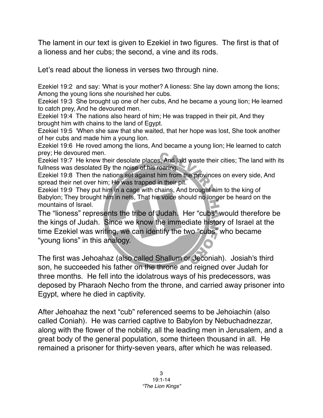The lament in our text is given to Ezekiel in two figures. The first is that of a lioness and her cubs; the second, a vine and its rods.

Let's read about the lioness in verses two through nine.

Ezekiel 19:2 and say: 'What is your mother? A lioness: She lay down among the lions; Among the young lions she nourished her cubs.

Ezekiel 19:3 She brought up one of her cubs, And he became a young lion; He learned to catch prey, And he devoured men.

Ezekiel 19:4 The nations also heard of him; He was trapped in their pit, And they brought him with chains to the land of Egypt.

Ezekiel 19:5 'When she saw that she waited, that her hope was lost, She took another of her cubs and made him a young lion.

Ezekiel 19:6 He roved among the lions, And became a young lion; He learned to catch prey; He devoured men.

Ezekiel 19:7 He knew their desolate places, And laid waste their cities; The land with its fullness was desolated By the noise of his roaring.

Ezekiel 19:8 Then the nations set against him from the provinces on every side, And spread their net over him; He was trapped in their pit.

Ezekiel 19:9 They put him in a cage with chains, And brought him to the king of Babylon; They brought him in nets, That his voice should no longer be heard on the mountains of Israel.

The "lioness" represents the tribe of Judah. Her "cubs" would therefore be the kings of Judah. Since we know the immediate history of Israel at the time Ezekiel was writing, we can identify the two "cubs" who became "young lions" in this analogy.

The first was Jehoahaz (also called Shallum or Jeconiah). [Josiah's](http://www.christiananswers.net/dictionary/josiah.html) third son, he succeeded his father on the throne and reigned over Judah for three months. He fell into the [idolatrous](http://www.christiananswers.net/dictionary/idolatry.html) ways of his predecessors, was deposed by Pharaoh Necho from the throne, and carried away prisoner into Egypt, where he died in captivity.

After Jehoahaz the next "cub" referenced seems to be Jehoiachin (also called Coniah). He was carried captive to [Babylon](http://christiananswers.net/dictionary/babylon.html) by [Nebuchadnezzar](http://christiananswers.net/dictionary/nebuchadnezzar.html), along with the flower of the nobility, all the leading men in [Jerusalem,](http://christiananswers.net/dictionary/jerusalem.html) and a great body of the general population, some thirteen thousand in all. He remained a prisoner for thirty-seven years, after which he was released.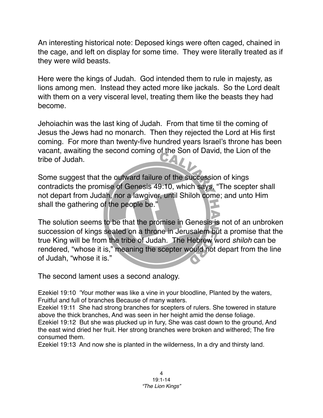An interesting historical note: Deposed kings were often caged, chained in the cage, and left on display for some time. They were literally treated as if they were wild beasts.

Here were the kings of Judah. God intended them to rule in majesty, as lions among men. Instead they acted more like jackals. So the Lord dealt with them on a very visceral level, treating them like the beasts they had become.

Jehoiachin was the last king of Judah. From that time til the coming of Jesus the Jews had no monarch. Then they rejected the Lord at His first coming. For more than twenty-five hundred years Israel's throne has been vacant, awaiting the second coming of the Son of David, the Lion of the tribe of Judah.

Some suggest that the outward failure of the succession of kings contradicts the promise of Genesis 49:10, which says, "The scepter shall not depart from Judah, nor a lawgiver, until Shiloh come; and unto Him shall the gathering of the people be."

The solution seems to be that the promise in Genesis is not of an unbroken succession of kings seated on a throne in Jerusalem but a promise that the true King will be from the tribe of Judah. The Hebrew word *shiloh* can be rendered, "whose it is," meaning the scepter would not depart from the line of Judah, "whose it is."

The second lament uses a second analogy.

Ezekiel 19:10 'Your mother was like a vine in your bloodline, Planted by the waters, Fruitful and full of branches Because of many waters.

Ezekiel 19:11 She had strong branches for scepters of rulers. She towered in stature above the thick branches, And was seen in her height amid the dense foliage.

Ezekiel 19:12 But she was plucked up in fury, She was cast down to the ground, And the east wind dried her fruit. Her strong branches were broken and withered; The fire consumed them.

Ezekiel 19:13 And now she is planted in the wilderness, In a dry and thirsty land.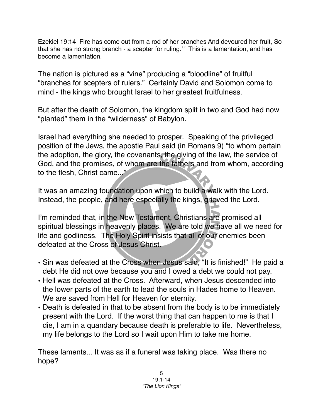Ezekiel 19:14 Fire has come out from a rod of her branches And devoured her fruit, So that she has no strong branch - a scepter for ruling.' " This is a lamentation, and has become a lamentation.

The nation is pictured as a "vine" producing a "bloodline" of fruitful "branches for scepters of rulers." Certainly David and Solomon come to mind - the kings who brought Israel to her greatest fruitfulness.

But after the death of Solomon, the kingdom split in two and God had now "planted" them in the "wilderness" of Babylon.

Israel had everything she needed to prosper. Speaking of the privileged position of the Jews, the apostle Paul said (in Romans 9) "to whom pertain the adoption, the glory, the covenants, the giving of the law, the service of God, and the promises, of whom are the fathers and from whom, according to the flesh, Christ came..."

It was an amazing foundation upon which to build a walk with the Lord. Instead, the people, and here especially the kings, grieved the Lord.

I'm reminded that, in the New Testament, Christians are promised all spiritual blessings in heavenly places. We are told we have all we need for life and godliness. The Holy Spirit insists that all of our enemies been defeated at the Cross of Jesus Christ.

- Sin was defeated at the Cross when Jesus said, "It is finished!" He paid a debt He did not owe because you and I owed a debt we could not pay.
- Hell was defeated at the Cross. Afterward, when Jesus descended into the lower parts of the earth to lead the souls in Hades home to Heaven. We are saved from Hell for Heaven for eternity.
- Death is defeated in that to be absent from the body is to be immediately present with the Lord. If the worst thing that can happen to me is that I die, I am in a quandary because death is preferable to life. Nevertheless, my life belongs to the Lord so I wait upon Him to take me home.

These laments... It was as if a funeral was taking place. Was there no hope?